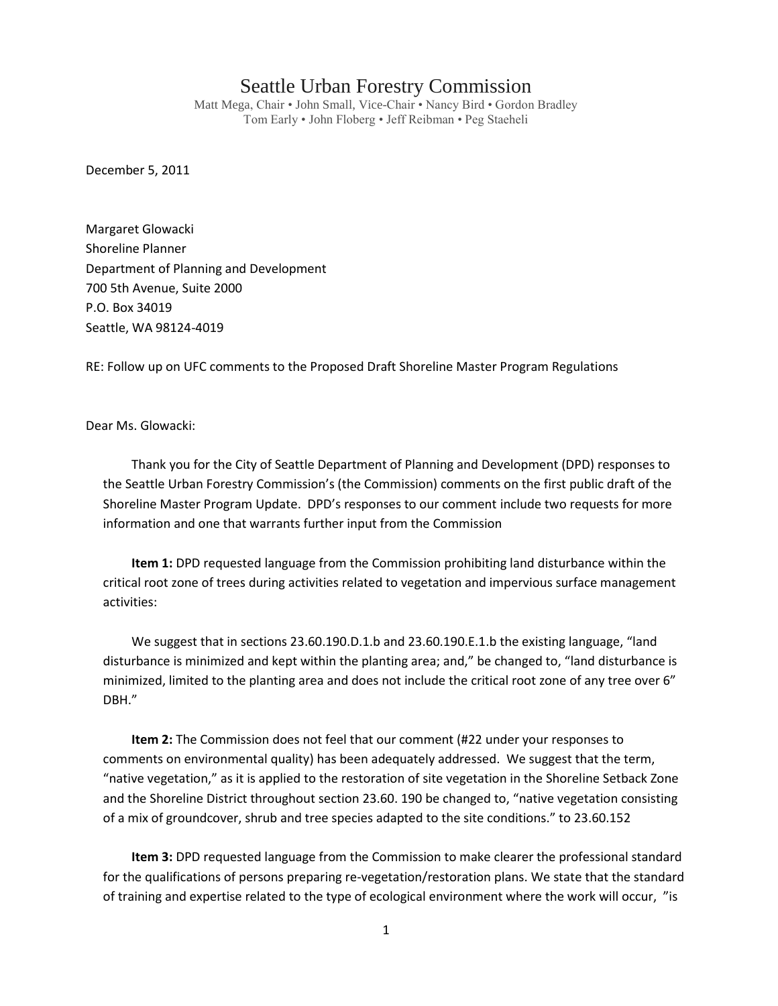## Seattle Urban Forestry Commission

Matt Mega, Chair • John Small, Vice-Chair • Nancy Bird • Gordon Bradley Tom Early • John Floberg • Jeff Reibman • Peg Staeheli

December 5, 2011

Margaret Glowacki Shoreline Planner Department of Planning and Development 700 5th Avenue, Suite 2000 P.O. Box 34019 Seattle, WA 98124-4019

RE: Follow up on UFC comments to the Proposed Draft Shoreline Master Program Regulations

Dear Ms. Glowacki:

Thank you for the City of Seattle Department of Planning and Development (DPD) responses to the Seattle Urban Forestry Commission's (the Commission) comments on the first public draft of the Shoreline Master Program Update. DPD's responses to our comment include two requests for more information and one that warrants further input from the Commission

**Item 1:** DPD requested language from the Commission prohibiting land disturbance within the critical root zone of trees during activities related to vegetation and impervious surface management activities:

We suggest that in sections 23.60.190.D.1.b and 23.60.190.E.1.b the existing language, "land disturbance is minimized and kept within the planting area; and," be changed to, "land disturbance is minimized, limited to the planting area and does not include the critical root zone of any tree over 6" DBH."

**Item 2:** The Commission does not feel that our comment (#22 under your responses to comments on environmental quality) has been adequately addressed. We suggest that the term, "native vegetation," as it is applied to the restoration of site vegetation in the Shoreline Setback Zone and the Shoreline District throughout section 23.60. 190 be changed to, "native vegetation consisting of a mix of groundcover, shrub and tree species adapted to the site conditions." to 23.60.152

**Item 3:** DPD requested language from the Commission to make clearer the professional standard for the qualifications of persons preparing re-vegetation/restoration plans. We state that the standard of training and expertise related to the type of ecological environment where the work will occur, "is